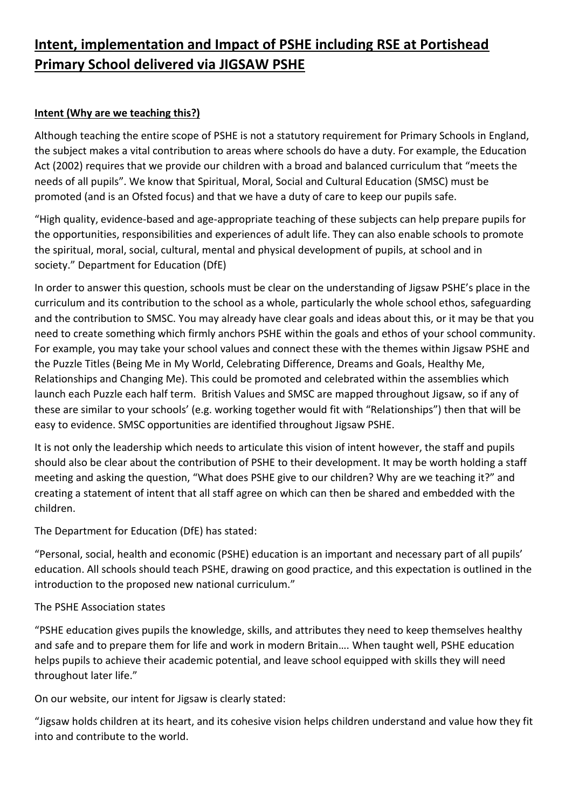# **Intent, implementation and Impact of PSHE including RSE at Portishead Primary School delivered via JIGSAW PSHE**

### **Intent (Why are we teaching this?)**

Although teaching the entire scope of PSHE is not a statutory requirement for Primary Schools in England, the subject makes a vital contribution to areas where schools do have a duty. For example, the Education Act (2002) requires that we provide our children with a broad and balanced curriculum that "meets the needs of all pupils". We know that Spiritual, Moral, Social and Cultural Education (SMSC) must be promoted (and is an Ofsted focus) and that we have a duty of care to keep our pupils safe.

"High quality, evidence-based and age-appropriate teaching of these subjects can help prepare pupils for the opportunities, responsibilities and experiences of adult life. They can also enable schools to promote the spiritual, moral, social, cultural, mental and physical development of pupils, at school and in society." Department for Education (DfE)

In order to answer this question, schools must be clear on the understanding of Jigsaw PSHE's place in the curriculum and its contribution to the school as a whole, particularly the whole school ethos, safeguarding and the contribution to SMSC. You may already have clear goals and ideas about this, or it may be that you need to create something which firmly anchors PSHE within the goals and ethos of your school community. For example, you may take your school values and connect these with the themes within Jigsaw PSHE and the Puzzle Titles (Being Me in My World, Celebrating Difference, Dreams and Goals, Healthy Me, Relationships and Changing Me). This could be promoted and celebrated within the assemblies which launch each Puzzle each half term. British Values and SMSC are mapped throughout Jigsaw, so if any of these are similar to your schools' (e.g. working together would fit with "Relationships") then that will be easy to evidence. SMSC opportunities are identified throughout Jigsaw PSHE.

It is not only the leadership which needs to articulate this vision of intent however, the staff and pupils should also be clear about the contribution of PSHE to their development. It may be worth holding a staff meeting and asking the question, "What does PSHE give to our children? Why are we teaching it?" and creating a statement of intent that all staff agree on which can then be shared and embedded with the children.

The Department for Education (DfE) has stated:

"Personal, social, health and economic (PSHE) education is an important and necessary part of all pupils' education. All schools should teach PSHE, drawing on good practice, and this expectation is outlined in the introduction to the proposed new national curriculum."

#### The PSHE Association states

"PSHE education gives pupils the knowledge, skills, and attributes they need to keep themselves healthy and safe and to prepare them for life and work in modern Britain…. When taught well, PSHE education helps pupils to achieve their academic potential, and leave school equipped with skills they will need throughout later life."

On our website, our intent for Jigsaw is clearly stated:

"Jigsaw holds children at its heart, and its cohesive vision helps children understand and value how they fit into and contribute to the world.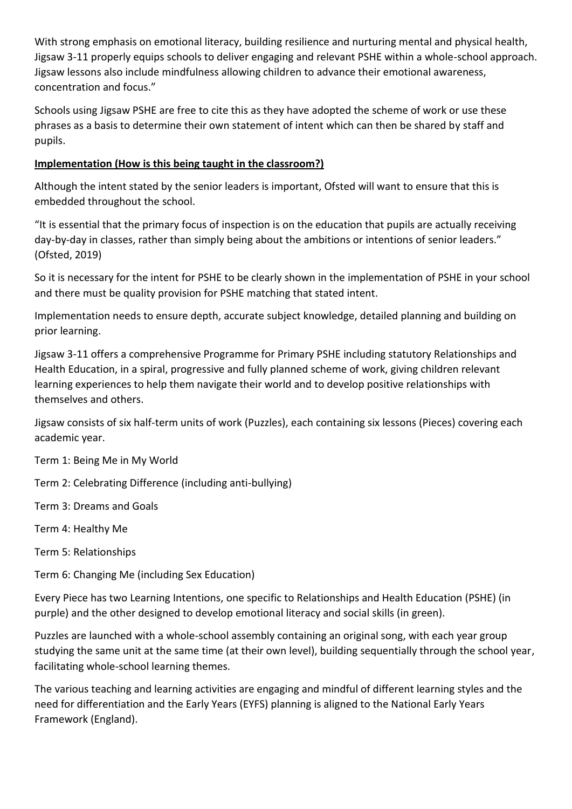With strong emphasis on emotional literacy, building resilience and nurturing mental and physical health, Jigsaw 3-11 properly equips schools to deliver engaging and relevant PSHE within a whole-school approach. Jigsaw lessons also include mindfulness allowing children to advance their emotional awareness, concentration and focus."

Schools using Jigsaw PSHE are free to cite this as they have adopted the scheme of work or use these phrases as a basis to determine their own statement of intent which can then be shared by staff and pupils.

#### **Implementation (How is this being taught in the classroom?)**

Although the intent stated by the senior leaders is important, Ofsted will want to ensure that this is embedded throughout the school.

"It is essential that the primary focus of inspection is on the education that pupils are actually receiving day-by-day in classes, rather than simply being about the ambitions or intentions of senior leaders." (Ofsted, 2019)

So it is necessary for the intent for PSHE to be clearly shown in the implementation of PSHE in your school and there must be quality provision for PSHE matching that stated intent.

Implementation needs to ensure depth, accurate subject knowledge, detailed planning and building on prior learning.

Jigsaw 3-11 offers a comprehensive Programme for Primary PSHE including statutory Relationships and Health Education, in a spiral, progressive and fully planned scheme of work, giving children relevant learning experiences to help them navigate their world and to develop positive relationships with themselves and others.

Jigsaw consists of six half-term units of work (Puzzles), each containing six lessons (Pieces) covering each academic year.

Term 1: Being Me in My World

Term 2: Celebrating Difference (including anti-bullying)

Term 3: Dreams and Goals

Term 4: Healthy Me

Term 5: Relationships

Term 6: Changing Me (including Sex Education)

Every Piece has two Learning Intentions, one specific to Relationships and Health Education (PSHE) (in purple) and the other designed to develop emotional literacy and social skills (in green).

Puzzles are launched with a whole-school assembly containing an original song, with each year group studying the same unit at the same time (at their own level), building sequentially through the school year, facilitating whole-school learning themes.

The various teaching and learning activities are engaging and mindful of different learning styles and the need for differentiation and the Early Years (EYFS) planning is aligned to the National Early Years Framework (England).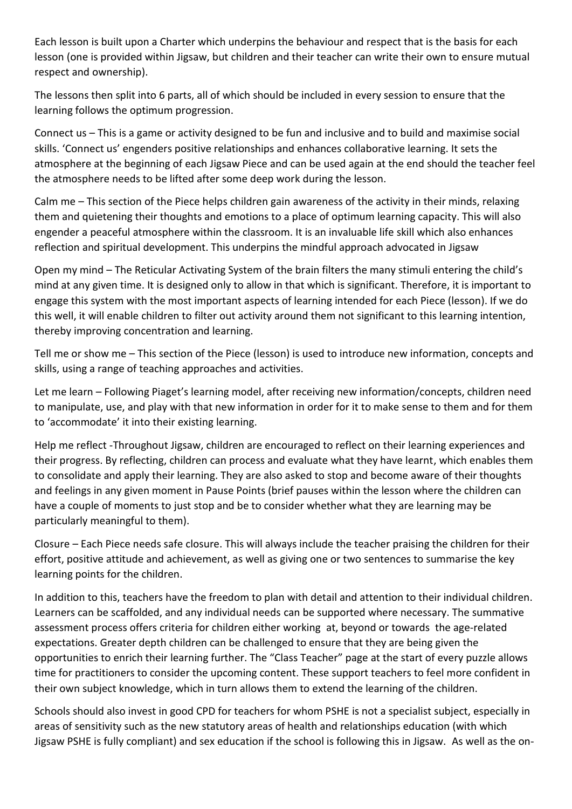Each lesson is built upon a Charter which underpins the behaviour and respect that is the basis for each lesson (one is provided within Jigsaw, but children and their teacher can write their own to ensure mutual respect and ownership).

The lessons then split into 6 parts, all of which should be included in every session to ensure that the learning follows the optimum progression.

Connect us – This is a game or activity designed to be fun and inclusive and to build and maximise social skills. 'Connect us' engenders positive relationships and enhances collaborative learning. It sets the atmosphere at the beginning of each Jigsaw Piece and can be used again at the end should the teacher feel the atmosphere needs to be lifted after some deep work during the lesson.

Calm me – This section of the Piece helps children gain awareness of the activity in their minds, relaxing them and quietening their thoughts and emotions to a place of optimum learning capacity. This will also engender a peaceful atmosphere within the classroom. It is an invaluable life skill which also enhances reflection and spiritual development. This underpins the mindful approach advocated in Jigsaw

Open my mind – The Reticular Activating System of the brain filters the many stimuli entering the child's mind at any given time. It is designed only to allow in that which is significant. Therefore, it is important to engage this system with the most important aspects of learning intended for each Piece (lesson). If we do this well, it will enable children to filter out activity around them not significant to this learning intention, thereby improving concentration and learning.

Tell me or show me – This section of the Piece (lesson) is used to introduce new information, concepts and skills, using a range of teaching approaches and activities.

Let me learn – Following Piaget's learning model, after receiving new information/concepts, children need to manipulate, use, and play with that new information in order for it to make sense to them and for them to 'accommodate' it into their existing learning.

Help me reflect -Throughout Jigsaw, children are encouraged to reflect on their learning experiences and their progress. By reflecting, children can process and evaluate what they have learnt, which enables them to consolidate and apply their learning. They are also asked to stop and become aware of their thoughts and feelings in any given moment in Pause Points (brief pauses within the lesson where the children can have a couple of moments to just stop and be to consider whether what they are learning may be particularly meaningful to them).

Closure – Each Piece needs safe closure. This will always include the teacher praising the children for their effort, positive attitude and achievement, as well as giving one or two sentences to summarise the key learning points for the children.

In addition to this, teachers have the freedom to plan with detail and attention to their individual children. Learners can be scaffolded, and any individual needs can be supported where necessary. The summative assessment process offers criteria for children either working at, beyond or towards the age-related expectations. Greater depth children can be challenged to ensure that they are being given the opportunities to enrich their learning further. The "Class Teacher" page at the start of every puzzle allows time for practitioners to consider the upcoming content. These support teachers to feel more confident in their own subject knowledge, which in turn allows them to extend the learning of the children.

Schools should also invest in good CPD for teachers for whom PSHE is not a specialist subject, especially in areas of sensitivity such as the new statutory areas of health and relationships education (with which Jigsaw PSHE is fully compliant) and sex education if the school is following this in Jigsaw. As well as the on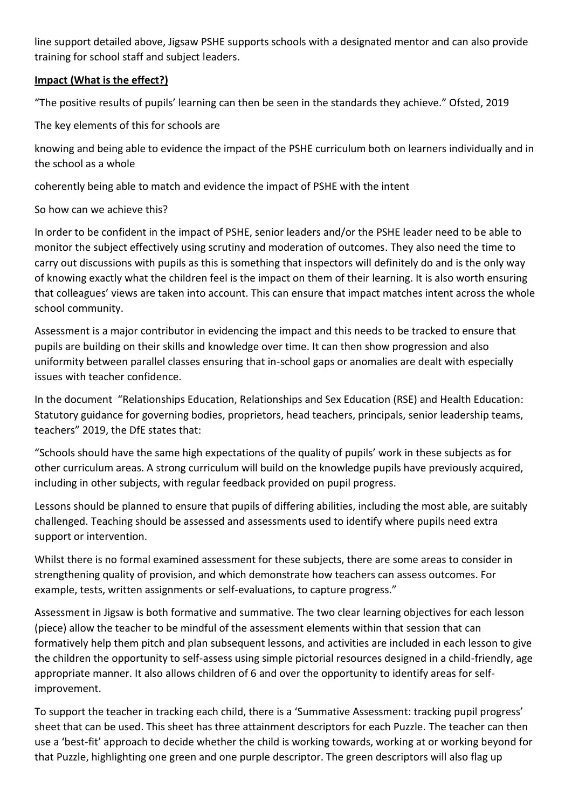line support detailed above, Jigsaw PSHE supports schools with a designated mentor and can also provide training for school staff and subject leaders.

#### **Impact (What is the effect?)**

"The positive results of pupils' learning can then be seen in the standards they achieve." Ofsted, 2019

The key elements of this for schools are

knowing and being able to evidence the impact of the PSHE curriculum both on learners individually and in the school as a whole

coherently being able to match and evidence the impact of PSHE with the intent

## So how can we achieve this?

In order to be confident in the impact of PSHE, senior leaders and/or the PSHE leader need to be able to monitor the subject effectively using scrutiny and moderation of outcomes. They also need the time to carry out discussions with pupils as this is something that inspectors will definitely do and is the only way of knowing exactly what the children feel is the impact on them of their learning. It is also worth ensuring that colleagues' views are taken into account. This can ensure that impact matches intent across the whole school community.

Assessment is a major contributor in evidencing the impact and this needs to be tracked to ensure that pupils are building on their skills and knowledge over time. It can then show progression and also uniformity between parallel classes ensuring that in-school gaps or anomalies are dealt with especially issues with teacher confidence.

In the document "Relationships Education, Relationships and Sex Education (RSE) and Health Education: Statutory guidance for governing bodies, proprietors, head teachers, principals, senior leadership teams, teachers" 2019, the DfE states that:

"Schools should have the same high expectations of the quality of pupils' work in these subjects as for other curriculum areas. A strong curriculum will build on the knowledge pupils have previously acquired, including in other subjects, with regular feedback provided on pupil progress.

Lessons should be planned to ensure that pupils of differing abilities, including the most able, are suitably challenged. Teaching should be assessed and assessments used to identify where pupils need extra support or intervention.

Whilst there is no formal examined assessment for these subjects, there are some areas to consider in strengthening quality of provision, and which demonstrate how teachers can assess outcomes. For example, tests, written assignments or self-evaluations, to capture progress."

Assessment in Jigsaw is both formative and summative. The two clear learning objectives for each lesson (piece) allow the teacher to be mindful of the assessment elements within that session that can formatively help them pitch and plan subsequent lessons, and activities are included in each lesson to give the children the opportunity to self-assess using simple pictorial resources designed in a child-friendly, age appropriate manner. It also allows children of 6 and over the opportunity to identify areas for selfimprovement.

To support the teacher in tracking each child, there is a 'Summative Assessment: tracking pupil progress' sheet that can be used. This sheet has three attainment descriptors for each Puzzle. The teacher can then use a 'best-fit' approach to decide whether the child is working towards, working at or working beyond for that Puzzle, highlighting one green and one purple descriptor. The green descriptors will also flag up